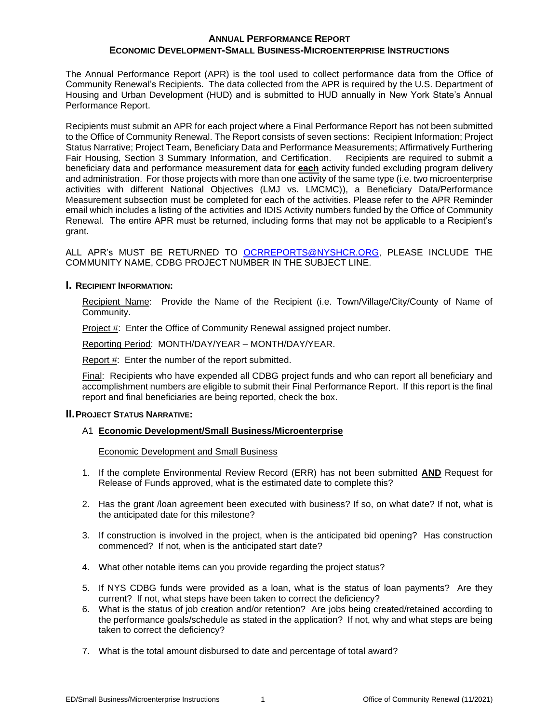The Annual Performance Report (APR) is the tool used to collect performance data from the Office of Community Renewal's Recipients. The data collected from the APR is required by the U.S. Department of Housing and Urban Development (HUD) and is submitted to HUD annually in New York State's Annual Performance Report.

Recipients must submit an APR for each project where a Final Performance Report has not been submitted to the Office of Community Renewal. The Report consists of seven sections: Recipient Information; Project Status Narrative; Project Team, Beneficiary Data and Performance Measurements; Affirmatively Furthering Fair Housing, Section 3 Summary Information, and Certification. Recipients are required to submit a beneficiary data and performance measurement data for **each** activity funded excluding program delivery and administration. For those projects with more than one activity of the same type (i.e. two microenterprise activities with different National Objectives (LMJ vs. LMCMC)), a Beneficiary Data/Performance Measurement subsection must be completed for each of the activities. Please refer to the APR Reminder email which includes a listing of the activities and IDIS Activity numbers funded by the Office of Community Renewal. The entire APR must be returned, including forms that may not be applicable to a Recipient's grant.

ALL APR's MUST BE RETURNED TO [OCRREPORTS@NYSHCR.ORG,](mailto:OCRREPORTS@NYSHCR.ORG) PLEASE INCLUDE THE COMMUNITY NAME, CDBG PROJECT NUMBER IN THE SUBJECT LINE.

## **I. RECIPIENT INFORMATION:**

Recipient Name: Provide the Name of the Recipient (i.e. Town/Village/City/County of Name of Community.

Project #: Enter the Office of Community Renewal assigned project number.

Reporting Period: MONTH/DAY/YEAR – MONTH/DAY/YEAR.

Report #: Enter the number of the report submitted.

Final: Recipients who have expended all CDBG project funds and who can report all beneficiary and accomplishment numbers are eligible to submit their Final Performance Report. If this report is the final report and final beneficiaries are being reported, check the box.

## **II.PROJECT STATUS NARRATIVE:**

## A1 **Economic Development/Small Business/Microenterprise**

Economic Development and Small Business

- 1. If the complete Environmental Review Record (ERR) has not been submitted **AND** Request for Release of Funds approved, what is the estimated date to complete this?
- 2. Has the grant /loan agreement been executed with business? If so, on what date? If not, what is the anticipated date for this milestone?
- 3. If construction is involved in the project, when is the anticipated bid opening? Has construction commenced? If not, when is the anticipated start date?
- 4. What other notable items can you provide regarding the project status?
- 5. If NYS CDBG funds were provided as a loan, what is the status of loan payments? Are they current? If not, what steps have been taken to correct the deficiency?
- 6. What is the status of job creation and/or retention? Are jobs being created/retained according to the performance goals/schedule as stated in the application? If not, why and what steps are being taken to correct the deficiency?
- 7. What is the total amount disbursed to date and percentage of total award?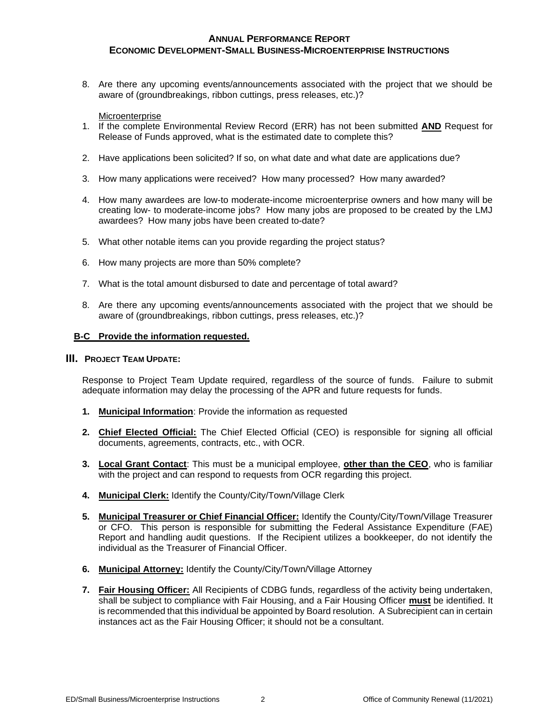8. Are there any upcoming events/announcements associated with the project that we should be aware of (groundbreakings, ribbon cuttings, press releases, etc.)?

Microenterprise

- 1. If the complete Environmental Review Record (ERR) has not been submitted **AND** Request for Release of Funds approved, what is the estimated date to complete this?
- 2. Have applications been solicited? If so, on what date and what date are applications due?
- 3. How many applications were received? How many processed? How many awarded?
- 4. How many awardees are low-to moderate-income microenterprise owners and how many will be creating low- to moderate-income jobs? How many jobs are proposed to be created by the LMJ awardees? How many jobs have been created to-date?
- 5. What other notable items can you provide regarding the project status?
- 6. How many projects are more than 50% complete?
- 7. What is the total amount disbursed to date and percentage of total award?
- 8. Are there any upcoming events/announcements associated with the project that we should be aware of (groundbreakings, ribbon cuttings, press releases, etc.)?

## **B-C Provide the information requested.**

#### **III. PROJECT TEAM UPDATE:**

Response to Project Team Update required, regardless of the source of funds. Failure to submit adequate information may delay the processing of the APR and future requests for funds.

- **1. Municipal Information**: Provide the information as requested
- **2. Chief Elected Official:** The Chief Elected Official (CEO) is responsible for signing all official documents, agreements, contracts, etc., with OCR.
- **3. Local Grant Contact**: This must be a municipal employee, **other than the CEO**, who is familiar with the project and can respond to requests from OCR regarding this project.
- **4. Municipal Clerk:** Identify the County/City/Town/Village Clerk
- **5. Municipal Treasurer or Chief Financial Officer:** Identify the County/City/Town/Village Treasurer or CFO. This person is responsible for submitting the Federal Assistance Expenditure (FAE) Report and handling audit questions. If the Recipient utilizes a bookkeeper, do not identify the individual as the Treasurer of Financial Officer.
- **6. Municipal Attorney:** Identify the County/City/Town/Village Attorney
- **7. Fair Housing Officer:** All Recipients of CDBG funds, regardless of the activity being undertaken, shall be subject to compliance with Fair Housing, and a Fair Housing Officer **must** be identified. It is recommended that this individual be appointed by Board resolution. A Subrecipient can in certain instances act as the Fair Housing Officer; it should not be a consultant.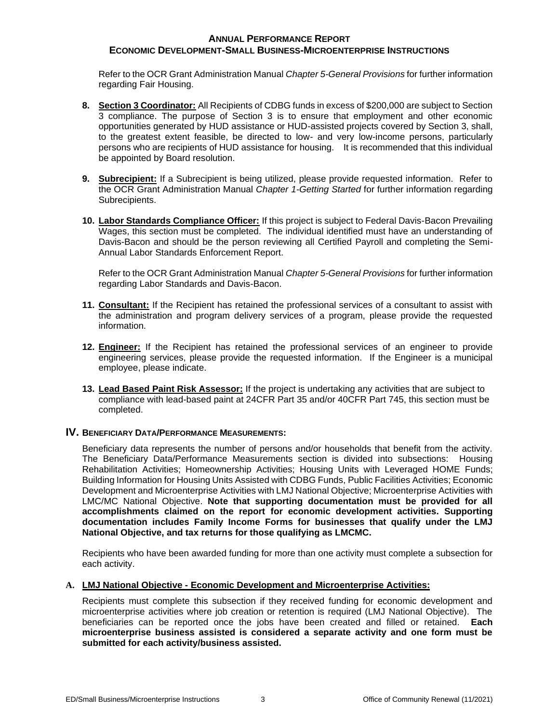Refer to the OCR Grant Administration Manual *Chapter 5-General Provisions* for further information regarding Fair Housing.

- **8. Section 3 Coordinator:** All Recipients of CDBG funds in excess of \$200,000 are subject to Section 3 compliance. The purpose of Section 3 is to ensure that employment and other economic opportunities generated by HUD assistance or HUD-assisted projects covered by Section 3, shall, to the greatest extent feasible, be directed to low- and very low-income persons, particularly persons who are recipients of HUD assistance for housing. It is recommended that this individual be appointed by Board resolution.
- **9. Subrecipient:** If a Subrecipient is being utilized, please provide requested information. Refer to the OCR Grant Administration Manual *Chapter 1-Getting Started* for further information regarding Subrecipients.
- **10. Labor Standards Compliance Officer:** If this project is subject to Federal Davis-Bacon Prevailing Wages, this section must be completed. The individual identified must have an understanding of Davis-Bacon and should be the person reviewing all Certified Payroll and completing the Semi-Annual Labor Standards Enforcement Report.

Refer to the OCR Grant Administration Manual *Chapter 5-General Provisions* for further information regarding Labor Standards and Davis-Bacon.

- **11. Consultant:** If the Recipient has retained the professional services of a consultant to assist with the administration and program delivery services of a program, please provide the requested information.
- **12. Engineer:** If the Recipient has retained the professional services of an engineer to provide engineering services, please provide the requested information. If the Engineer is a municipal employee, please indicate.
- **13. Lead Based Paint Risk Assessor:** If the project is undertaking any activities that are subject to compliance with lead-based paint at 24CFR Part 35 and/or 40CFR Part 745, this section must be completed.

## **IV. BENEFICIARY DATA/PERFORMANCE MEASUREMENTS:**

Beneficiary data represents the number of persons and/or households that benefit from the activity. The Beneficiary Data/Performance Measurements section is divided into subsections: Housing Rehabilitation Activities; Homeownership Activities; Housing Units with Leveraged HOME Funds; Building Information for Housing Units Assisted with CDBG Funds, Public Facilities Activities; Economic Development and Microenterprise Activities with LMJ National Objective; Microenterprise Activities with LMC/MC National Objective. **Note that supporting documentation must be provided for all accomplishments claimed on the report for economic development activities. Supporting documentation includes Family Income Forms for businesses that qualify under the LMJ National Objective, and tax returns for those qualifying as LMCMC.**

Recipients who have been awarded funding for more than one activity must complete a subsection for each activity.

#### **A. LMJ National Objective - Economic Development and Microenterprise Activities:**

Recipients must complete this subsection if they received funding for economic development and microenterprise activities where job creation or retention is required (LMJ National Objective). The beneficiaries can be reported once the jobs have been created and filled or retained. **Each microenterprise business assisted is considered a separate activity and one form must be submitted for each activity/business assisted.**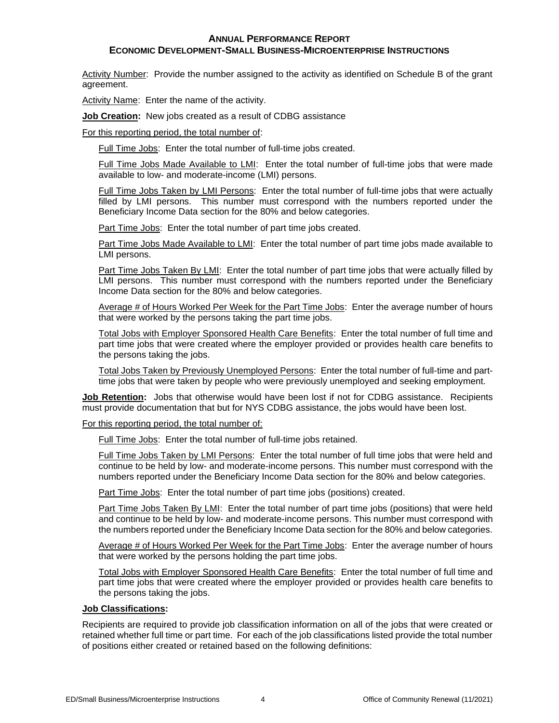#### **ANNUAL PERFORMANCE REPORT**

## **ECONOMIC DEVELOPMENT-SMALL BUSINESS-MICROENTERPRISE INSTRUCTIONS**

Activity Number: Provide the number assigned to the activity as identified on Schedule B of the grant agreement.

Activity Name: Enter the name of the activity.

**Job Creation:** New jobs created as a result of CDBG assistance

For this reporting period, the total number of:

Full Time Jobs: Enter the total number of full-time jobs created.

Full Time Jobs Made Available to LMI: Enter the total number of full-time jobs that were made available to low- and moderate-income (LMI) persons.

Full Time Jobs Taken by LMI Persons: Enter the total number of full-time jobs that were actually filled by LMI persons. This number must correspond with the numbers reported under the Beneficiary Income Data section for the 80% and below categories.

Part Time Jobs: Enter the total number of part time jobs created.

Part Time Jobs Made Available to LMI: Enter the total number of part time jobs made available to LMI persons.

Part Time Jobs Taken By LMI: Enter the total number of part time jobs that were actually filled by LMI persons. This number must correspond with the numbers reported under the Beneficiary Income Data section for the 80% and below categories.

Average # of Hours Worked Per Week for the Part Time Jobs: Enter the average number of hours that were worked by the persons taking the part time jobs.

Total Jobs with Employer Sponsored Health Care Benefits: Enter the total number of full time and part time jobs that were created where the employer provided or provides health care benefits to the persons taking the jobs.

Total Jobs Taken by Previously Unemployed Persons: Enter the total number of full-time and parttime jobs that were taken by people who were previously unemployed and seeking employment.

**Job Retention:** Jobs that otherwise would have been lost if not for CDBG assistance. Recipients must provide documentation that but for NYS CDBG assistance, the jobs would have been lost.

For this reporting period, the total number of:

Full Time Jobs: Enter the total number of full-time jobs retained.

Full Time Jobs Taken by LMI Persons: Enter the total number of full time jobs that were held and continue to be held by low- and moderate-income persons. This number must correspond with the numbers reported under the Beneficiary Income Data section for the 80% and below categories.

Part Time Jobs: Enter the total number of part time jobs (positions) created.

Part Time Jobs Taken By LMI: Enter the total number of part time jobs (positions) that were held and continue to be held by low- and moderate-income persons. This number must correspond with the numbers reported under the Beneficiary Income Data section for the 80% and below categories.

Average # of Hours Worked Per Week for the Part Time Jobs: Enter the average number of hours that were worked by the persons holding the part time jobs.

Total Jobs with Employer Sponsored Health Care Benefits: Enter the total number of full time and part time jobs that were created where the employer provided or provides health care benefits to the persons taking the jobs.

## **Job Classifications:**

Recipients are required to provide job classification information on all of the jobs that were created or retained whether full time or part time. For each of the job classifications listed provide the total number of positions either created or retained based on the following definitions: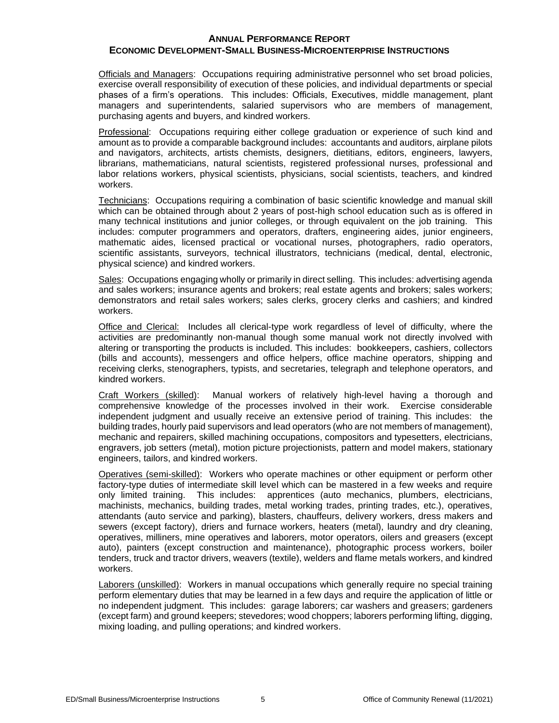Officials and Managers:Occupations requiring administrative personnel who set broad policies, exercise overall responsibility of execution of these policies, and individual departments or special phases of a firm's operations. This includes: Officials, Executives, middle management, plant managers and superintendents, salaried supervisors who are members of management, purchasing agents and buyers, and kindred workers.

Professional:Occupations requiring either college graduation or experience of such kind and amount as to provide a comparable background includes: accountants and auditors, airplane pilots and navigators, architects, artists chemists, designers, dietitians, editors, engineers, lawyers, librarians, mathematicians, natural scientists, registered professional nurses, professional and labor relations workers, physical scientists, physicians, social scientists, teachers, and kindred workers.

Technicians: Occupations requiring a combination of basic scientific knowledge and manual skill which can be obtained through about 2 years of post-high school education such as is offered in many technical institutions and junior colleges, or through equivalent on the job training. This includes: computer programmers and operators, drafters, engineering aides, junior engineers, mathematic aides, licensed practical or vocational nurses, photographers, radio operators, scientific assistants, surveyors, technical illustrators, technicians (medical, dental, electronic, physical science) and kindred workers.

Sales: Occupations engaging wholly or primarily in direct selling. This includes: advertising agenda and sales workers; insurance agents and brokers; real estate agents and brokers; sales workers; demonstrators and retail sales workers; sales clerks, grocery clerks and cashiers; and kindred workers.

Office and Clerical: Includes all clerical-type work regardless of level of difficulty, where the activities are predominantly non-manual though some manual work not directly involved with altering or transporting the products is included. This includes: bookkeepers, cashiers, collectors (bills and accounts), messengers and office helpers, office machine operators, shipping and receiving clerks, stenographers, typists, and secretaries, telegraph and telephone operators, and kindred workers.

Craft Workers (skilled): Manual workers of relatively high-level having a thorough and comprehensive knowledge of the processes involved in their work. Exercise considerable independent judgment and usually receive an extensive period of training. This includes: the building trades, hourly paid supervisors and lead operators (who are not members of management), mechanic and repairers, skilled machining occupations, compositors and typesetters, electricians, engravers, job setters (metal), motion picture projectionists, pattern and model makers, stationary engineers, tailors, and kindred workers.

Operatives (semi-skilled): Workers who operate machines or other equipment or perform other factory-type duties of intermediate skill level which can be mastered in a few weeks and require only limited training. This includes: apprentices (auto mechanics, plumbers, electricians, machinists, mechanics, building trades, metal working trades, printing trades, etc.), operatives, attendants (auto service and parking), blasters, chauffeurs, delivery workers, dress makers and sewers (except factory), driers and furnace workers, heaters (metal), laundry and dry cleaning, operatives, milliners, mine operatives and laborers, motor operators, oilers and greasers (except auto), painters (except construction and maintenance), photographic process workers, boiler tenders, truck and tractor drivers, weavers (textile), welders and flame metals workers, and kindred workers.

Laborers (unskilled): Workers in manual occupations which generally require no special training perform elementary duties that may be learned in a few days and require the application of little or no independent judgment. This includes: garage laborers; car washers and greasers; gardeners (except farm) and ground keepers; stevedores; wood choppers; laborers performing lifting, digging, mixing loading, and pulling operations; and kindred workers.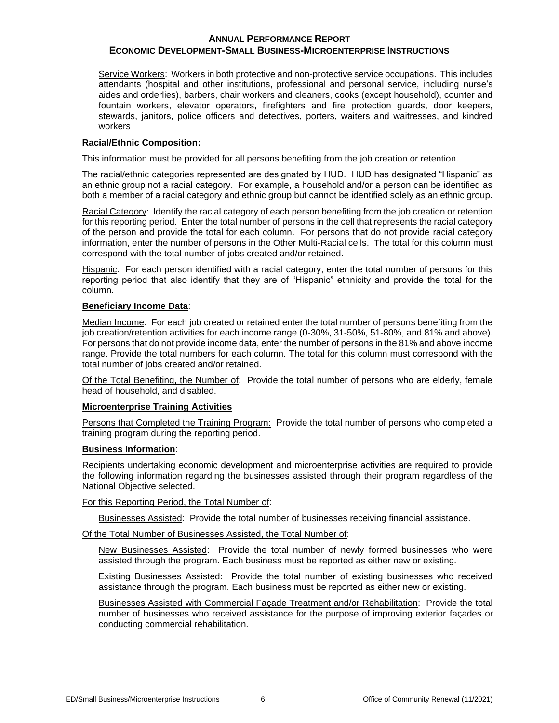Service Workers: Workers in both protective and non-protective service occupations. This includes attendants (hospital and other institutions, professional and personal service, including nurse's aides and orderlies), barbers, chair workers and cleaners, cooks (except household), counter and fountain workers, elevator operators, firefighters and fire protection guards, door keepers, stewards, janitors, police officers and detectives, porters, waiters and waitresses, and kindred workers

## **Racial/Ethnic Composition:**

This information must be provided for all persons benefiting from the job creation or retention.

The racial/ethnic categories represented are designated by HUD. HUD has designated "Hispanic" as an ethnic group not a racial category. For example, a household and/or a person can be identified as both a member of a racial category and ethnic group but cannot be identified solely as an ethnic group.

Racial Category: Identify the racial category of each person benefiting from the job creation or retention for this reporting period. Enter the total number of persons in the cell that represents the racial category of the person and provide the total for each column. For persons that do not provide racial category information, enter the number of persons in the Other Multi-Racial cells. The total for this column must correspond with the total number of jobs created and/or retained.

Hispanic: For each person identified with a racial category, enter the total number of persons for this reporting period that also identify that they are of "Hispanic" ethnicity and provide the total for the column.

## **Beneficiary Income Data**:

Median Income: For each job created or retained enter the total number of persons benefiting from the job creation/retention activities for each income range (0-30%, 31-50%, 51-80%, and 81% and above). For persons that do not provide income data, enter the number of persons in the 81% and above income range. Provide the total numbers for each column. The total for this column must correspond with the total number of jobs created and/or retained.

Of the Total Benefiting, the Number of: Provide the total number of persons who are elderly, female head of household, and disabled.

## **Microenterprise Training Activities**

Persons that Completed the Training Program: Provide the total number of persons who completed a training program during the reporting period.

## **Business Information**:

Recipients undertaking economic development and microenterprise activities are required to provide the following information regarding the businesses assisted through their program regardless of the National Objective selected.

For this Reporting Period, the Total Number of:

Businesses Assisted: Provide the total number of businesses receiving financial assistance.

## Of the Total Number of Businesses Assisted, the Total Number of:

New Businesses Assisted: Provide the total number of newly formed businesses who were assisted through the program. Each business must be reported as either new or existing.

**Existing Businesses Assisted:** Provide the total number of existing businesses who received assistance through the program. Each business must be reported as either new or existing.

Businesses Assisted with Commercial Façade Treatment and/or Rehabilitation: Provide the total number of businesses who received assistance for the purpose of improving exterior façades or conducting commercial rehabilitation.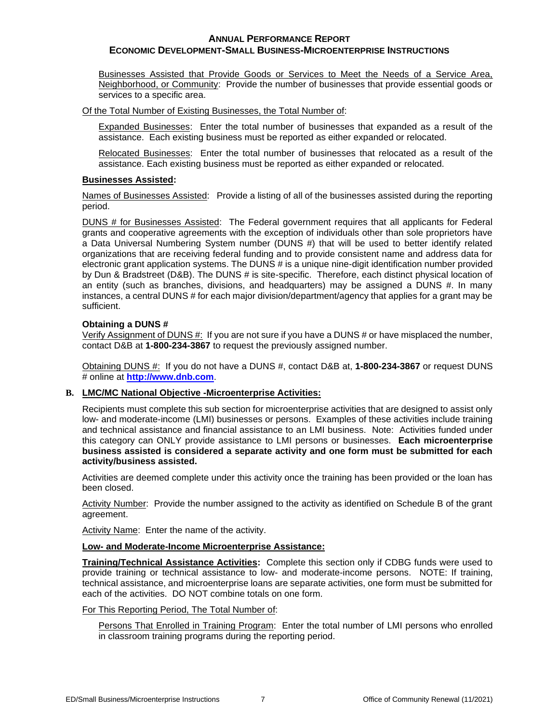Businesses Assisted that Provide Goods or Services to Meet the Needs of a Service Area, Neighborhood, or Community: Provide the number of businesses that provide essential goods or services to a specific area.

Of the Total Number of Existing Businesses, the Total Number of:

Expanded Businesses: Enter the total number of businesses that expanded as a result of the assistance. Each existing business must be reported as either expanded or relocated.

Relocated Businesses: Enter the total number of businesses that relocated as a result of the assistance. Each existing business must be reported as either expanded or relocated.

#### **Businesses Assisted:**

Names of Businesses Assisted: Provide a listing of all of the businesses assisted during the reporting period.

DUNS # for Businesses Assisted: The Federal government requires that all applicants for Federal grants and cooperative agreements with the exception of individuals other than sole proprietors have a Data Universal Numbering System number (DUNS #) that will be used to better identify related organizations that are receiving federal funding and to provide consistent name and address data for electronic grant application systems. The DUNS # is a unique nine-digit identification number provided by Dun & Bradstreet (D&B). The DUNS # is site-specific. Therefore, each distinct physical location of an entity (such as branches, divisions, and headquarters) may be assigned a DUNS #. In many instances, a central DUNS # for each major division/department/agency that applies for a grant may be sufficient.

## **Obtaining a DUNS #**

Verify Assignment of DUNS #: If you are not sure if you have a DUNS # or have misplaced the number, contact D&B at **1-800-234-3867** to request the previously assigned number.

Obtaining DUNS #: If you do not have a DUNS #, contact D&B at, **1-800-234-3867** or request DUNS # online at **[http://www.dnb.com](http://fedgov.dnb.com/webform/displayHomePage.do)**.

## **B. LMC/MC National Objective -Microenterprise Activities:**

Recipients must complete this sub section for microenterprise activities that are designed to assist only low- and moderate-income (LMI) businesses or persons. Examples of these activities include training and technical assistance and financial assistance to an LMI business. Note: Activities funded under this category can ONLY provide assistance to LMI persons or businesses. **Each microenterprise business assisted is considered a separate activity and one form must be submitted for each activity/business assisted.**

Activities are deemed complete under this activity once the training has been provided or the loan has been closed.

Activity Number: Provide the number assigned to the activity as identified on Schedule B of the grant agreement.

Activity Name: Enter the name of the activity.

## **Low- and Moderate-Income Microenterprise Assistance:**

**Training/Technical Assistance Activities:** Complete this section only if CDBG funds were used to provide training or technical assistance to low- and moderate-income persons. NOTE: If training, technical assistance, and microenterprise loans are separate activities, one form must be submitted for each of the activities. DO NOT combine totals on one form.

## For This Reporting Period, The Total Number of:

Persons That Enrolled in Training Program: Enter the total number of LMI persons who enrolled in classroom training programs during the reporting period.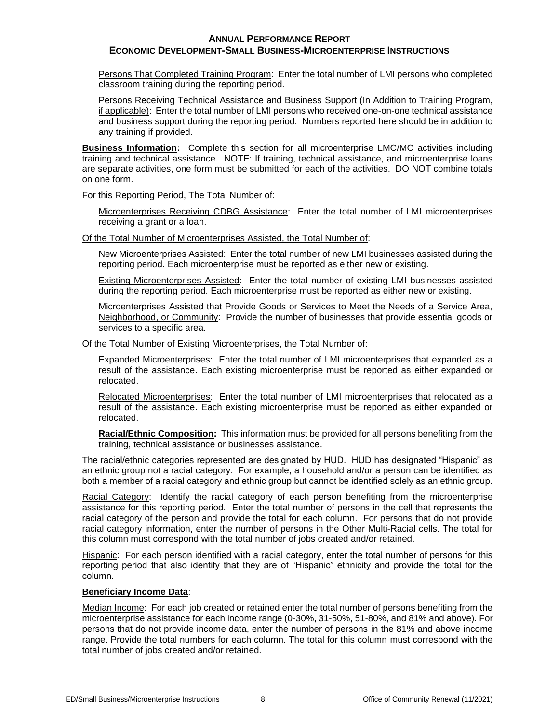#### **ANNUAL PERFORMANCE REPORT**

## **ECONOMIC DEVELOPMENT-SMALL BUSINESS-MICROENTERPRISE INSTRUCTIONS**

Persons That Completed Training Program: Enter the total number of LMI persons who completed classroom training during the reporting period.

Persons Receiving Technical Assistance and Business Support (In Addition to Training Program, if applicable): Enter the total number of LMI persons who received one-on-one technical assistance and business support during the reporting period. Numbers reported here should be in addition to any training if provided.

**Business Information:** Complete this section for all microenterprise LMC/MC activities including training and technical assistance. NOTE: If training, technical assistance, and microenterprise loans are separate activities, one form must be submitted for each of the activities. DO NOT combine totals on one form.

For this Reporting Period, The Total Number of:

Microenterprises Receiving CDBG Assistance: Enter the total number of LMI microenterprises receiving a grant or a loan.

Of the Total Number of Microenterprises Assisted, the Total Number of:

New Microenterprises Assisted: Enter the total number of new LMI businesses assisted during the reporting period. Each microenterprise must be reported as either new or existing.

Existing Microenterprises Assisted: Enter the total number of existing LMI businesses assisted during the reporting period. Each microenterprise must be reported as either new or existing.

Microenterprises Assisted that Provide Goods or Services to Meet the Needs of a Service Area, Neighborhood, or Community: Provide the number of businesses that provide essential goods or services to a specific area.

Of the Total Number of Existing Microenterprises, the Total Number of:

Expanded Microenterprises: Enter the total number of LMI microenterprises that expanded as a result of the assistance. Each existing microenterprise must be reported as either expanded or relocated.

Relocated Microenterprises: Enter the total number of LMI microenterprises that relocated as a result of the assistance. Each existing microenterprise must be reported as either expanded or relocated.

**Racial/Ethnic Composition:** This information must be provided for all persons benefiting from the training, technical assistance or businesses assistance.

The racial/ethnic categories represented are designated by HUD. HUD has designated "Hispanic" as an ethnic group not a racial category. For example, a household and/or a person can be identified as both a member of a racial category and ethnic group but cannot be identified solely as an ethnic group.

Racial Category: Identify the racial category of each person benefiting from the microenterprise assistance for this reporting period. Enter the total number of persons in the cell that represents the racial category of the person and provide the total for each column. For persons that do not provide racial category information, enter the number of persons in the Other Multi-Racial cells. The total for this column must correspond with the total number of jobs created and/or retained.

Hispanic: For each person identified with a racial category, enter the total number of persons for this reporting period that also identify that they are of "Hispanic" ethnicity and provide the total for the column.

## **Beneficiary Income Data**:

Median Income: For each job created or retained enter the total number of persons benefiting from the microenterprise assistance for each income range (0-30%, 31-50%, 51-80%, and 81% and above). For persons that do not provide income data, enter the number of persons in the 81% and above income range. Provide the total numbers for each column. The total for this column must correspond with the total number of jobs created and/or retained.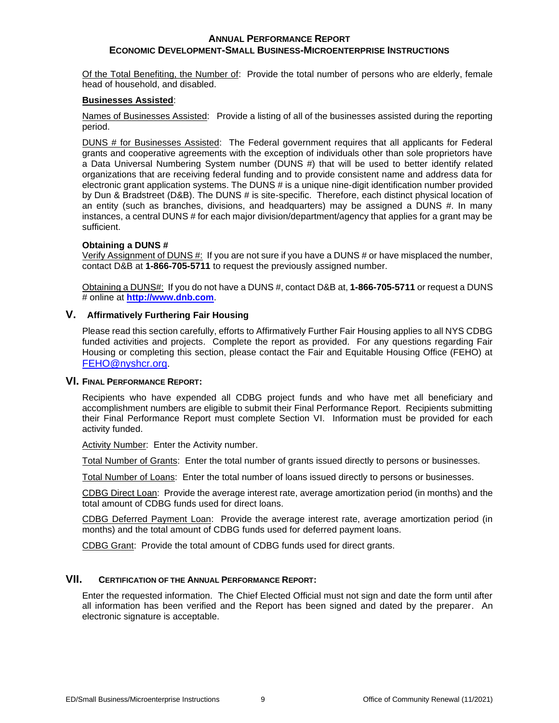Of the Total Benefiting, the Number of: Provide the total number of persons who are elderly, female head of household, and disabled.

#### **Businesses Assisted**:

Names of Businesses Assisted: Provide a listing of all of the businesses assisted during the reporting period.

DUNS # for Businesses Assisted: The Federal government requires that all applicants for Federal grants and cooperative agreements with the exception of individuals other than sole proprietors have a Data Universal Numbering System number (DUNS #) that will be used to better identify related organizations that are receiving federal funding and to provide consistent name and address data for electronic grant application systems. The DUNS # is a unique nine-digit identification number provided by Dun & Bradstreet (D&B). The DUNS # is site-specific. Therefore, each distinct physical location of an entity (such as branches, divisions, and headquarters) may be assigned a DUNS #. In many instances, a central DUNS # for each major division/department/agency that applies for a grant may be sufficient.

#### **Obtaining a DUNS #**

Verify Assignment of DUNS #: If you are not sure if you have a DUNS # or have misplaced the number, contact D&B at **1-866-705-5711** to request the previously assigned number.

Obtaining a DUNS#: If you do not have a DUNS #, contact D&B at, **1-866-705-5711** or request a DUNS # online at **[http://www.dnb.com](http://fedgov.dnb.com/webform/displayHomePage.do)**.

## **V. Affirmatively Furthering Fair Housing**

Please read this section carefully, efforts to Affirmatively Further Fair Housing applies to all NYS CDBG funded activities and projects. Complete the report as provided. For any questions regarding Fair Housing or completing this section, please contact the Fair and Equitable Housing Office (FEHO) at [FEHO@nyshcr.org.](mailto:FEHO@nyshcr.org)

#### **VI. FINAL PERFORMANCE REPORT:**

Recipients who have expended all CDBG project funds and who have met all beneficiary and accomplishment numbers are eligible to submit their Final Performance Report. Recipients submitting their Final Performance Report must complete Section VI. Information must be provided for each activity funded.

Activity Number: Enter the Activity number.

Total Number of Grants: Enter the total number of grants issued directly to persons or businesses.

Total Number of Loans: Enter the total number of loans issued directly to persons or businesses.

CDBG Direct Loan: Provide the average interest rate, average amortization period (in months) and the total amount of CDBG funds used for direct loans.

CDBG Deferred Payment Loan: Provide the average interest rate, average amortization period (in months) and the total amount of CDBG funds used for deferred payment loans.

CDBG Grant: Provide the total amount of CDBG funds used for direct grants.

## **VII. CERTIFICATION OF THE ANNUAL PERFORMANCE REPORT:**

Enter the requested information. The Chief Elected Official must not sign and date the form until after all information has been verified and the Report has been signed and dated by the preparer. An electronic signature is acceptable.